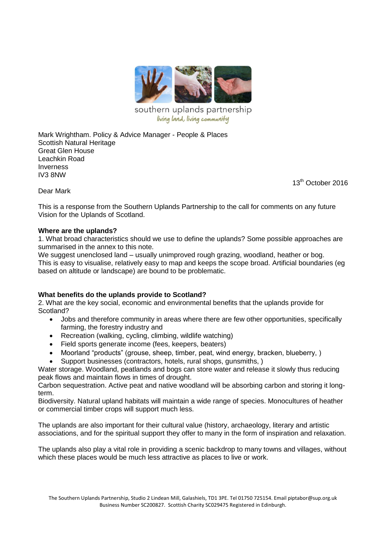

southern uplands partnership living land, living community

Mark Wrightham. Policy & Advice Manager - People & Places Scottish Natural Heritage Great Glen House Leachkin Road Inverness IV3 8NW

13<sup>th</sup> October 2016

Dear Mark

This is a response from the Southern Uplands Partnership to the call for comments on any future Vision for the Uplands of Scotland.

## **Where are the uplands?**

1. What broad characteristics should we use to define the uplands? Some possible approaches are summarised in the annex to this note.

We suggest unenclosed land – usually unimproved rough grazing, woodland, heather or bog. This is easy to visualise, relatively easy to map and keeps the scope broad. Artificial boundaries (eg based on altitude or landscape) are bound to be problematic.

## **What benefits do the uplands provide to Scotland?**

2. What are the key social, economic and environmental benefits that the uplands provide for Scotland?

- Jobs and therefore community in areas where there are few other opportunities, specifically farming, the forestry industry and
- Recreation (walking, cycling, climbing, wildlife watching)
- Field sports generate income (fees, keepers, beaters)
- Moorland "products" (grouse, sheep, timber, peat, wind energy, bracken, blueberry, )
- Support businesses (contractors, hotels, rural shops, gunsmiths, )

Water storage. Woodland, peatlands and bogs can store water and release it slowly thus reducing peak flows and maintain flows in times of drought.

Carbon sequestration. Active peat and native woodland will be absorbing carbon and storing it longterm.

Biodiversity. Natural upland habitats will maintain a wide range of species. Monocultures of heather or commercial timber crops will support much less.

The uplands are also important for their cultural value (history, archaeology, literary and artistic associations, and for the spiritual support they offer to many in the form of inspiration and relaxation.

The uplands also play a vital role in providing a scenic backdrop to many towns and villages, without which these places would be much less attractive as places to live or work.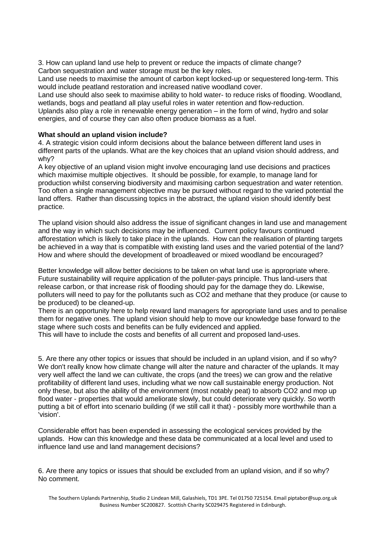3. How can upland land use help to prevent or reduce the impacts of climate change? Carbon sequestration and water storage must be the key roles.

Land use needs to maximise the amount of carbon kept locked-up or sequestered long-term. This would include peatland restoration and increased native woodland cover.

Land use should also seek to maximise ability to hold water- to reduce risks of flooding. Woodland, wetlands, bogs and peatland all play useful roles in water retention and flow-reduction.

Uplands also play a role in renewable energy generation – in the form of wind, hydro and solar energies, and of course they can also often produce biomass as a fuel.

## **What should an upland vision include?**

4. A strategic vision could inform decisions about the balance between different land uses in different parts of the uplands. What are the key choices that an upland vision should address, and why?

A key objective of an upland vision might involve encouraging land use decisions and practices which maximise multiple objectives. It should be possible, for example, to manage land for production whilst conserving biodiversity and maximising carbon sequestration and water retention. Too often a single management objective may be pursued without regard to the varied potential the land offers. Rather than discussing topics in the abstract, the upland vision should identify best practice.

The upland vision should also address the issue of significant changes in land use and management and the way in which such decisions may be influenced. Current policy favours continued afforestation which is likely to take place in the uplands. How can the realisation of planting targets be achieved in a way that is compatible with existing land uses and the varied potential of the land? How and where should the development of broadleaved or mixed woodland be encouraged?

Better knowledge will allow better decisions to be taken on what land use is appropriate where. Future sustainability will require application of the polluter-pays principle. Thus land-users that release carbon, or that increase risk of flooding should pay for the damage they do. Likewise, polluters will need to pay for the pollutants such as CO2 and methane that they produce (or cause to be produced) to be cleaned-up.

There is an opportunity here to help reward land managers for appropriate land uses and to penalise them for negative ones. The upland vision should help to move our knowledge base forward to the stage where such costs and benefits can be fully evidenced and applied.

This will have to include the costs and benefits of all current and proposed land-uses.

5. Are there any other topics or issues that should be included in an upland vision, and if so why? We don't really know how climate change will alter the nature and character of the uplands. It may very well affect the land we can cultivate, the crops (and the trees) we can grow and the relative profitability of different land uses, including what we now call sustainable energy production. Not only these, but also the ability of the environment (most notably peat) to absorb CO2 and mop up flood water - properties that would ameliorate slowly, but could deteriorate very quickly. So worth putting a bit of effort into scenario building (if we still call it that) - possibly more worthwhile than a 'vision'.

Considerable effort has been expended in assessing the ecological services provided by the uplands. How can this knowledge and these data be communicated at a local level and used to influence land use and land management decisions?

6. Are there any topics or issues that should be excluded from an upland vision, and if so why? No comment.

The Southern Uplands Partnership, Studio 2 Lindean Mill, Galashiels, TD1 3PE. Tel 01750 725154. Email piptabor@sup.org.uk Business Number SC200827. Scottish Charity SC029475 Registered in Edinburgh.